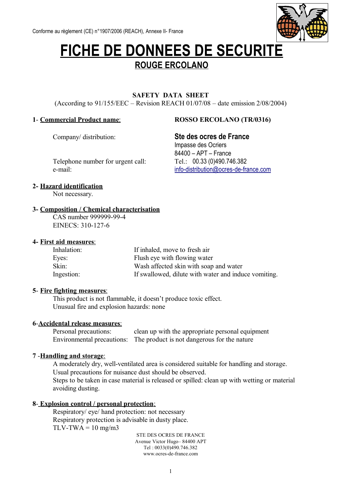

# **FICHE DE DONNEES DE SECURITE ROUGE ERCOLANO**

### **SAFETY DATA SHEET**

(According to 91/155/EEC – Revision REACH 01/07/08 – date emission 2/08/2004)

#### **1**- **Commercial Product name** : **ROSSO ERCOLANO (TR/0316)**

# Company/ distribution: **Ste des ocres de France**

Impasse des Ocriers 84400 – APT – France e-mail: [info-distribution@ocres-de-france.com](mailto:info-distribution@ocres-de-france.com)

Telephone number for urgent call: Tel.: 00.33 (0)490.746.382

## **2- Hazard identification**

Not necessary.

#### **3- Composition / Chemical characterisation**

CAS number 999999-99-4 EINECS: 310-127-6

#### **4- First aid measures** :

| Inhalation: | If inhaled, move to fresh air                        |
|-------------|------------------------------------------------------|
| Eyes:       | Flush eye with flowing water                         |
| Skin:       | Wash affected skin with soap and water               |
| Ingestion:  | If swallowed, dilute with water and induce vomiting. |

#### **5**- **Fire fighting measures** :

This product is not flammable, it doesn't produce toxic effect. Unusual fire and explosion hazards: none

#### **6**- **Accidental release measures** :

Personal precautions: clean up with the appropriate personal equipment Environmental precautions: The product is not dangerous for the nature

#### **7** - **Handling and storage** :

A moderately dry, well-ventilated area is considered suitable for handling and storage. Usual precautions for nuisance dust should be observed.

Steps to be taken in case material is released or spilled: clean up with wetting or material avoiding dusting.

#### **8**- **Explosion control / personal protection** :

Respiratory/ eye/ hand protection: not necessary Respiratory protection is advisable in dusty place.  $TLV-TWA = 10$  mg/m3

> STE DES OCRES DE FRANCE Avenue Victor Hugo– 84400 APT Tel : 0033(0)490.746.382 www.ocres-de-france.com